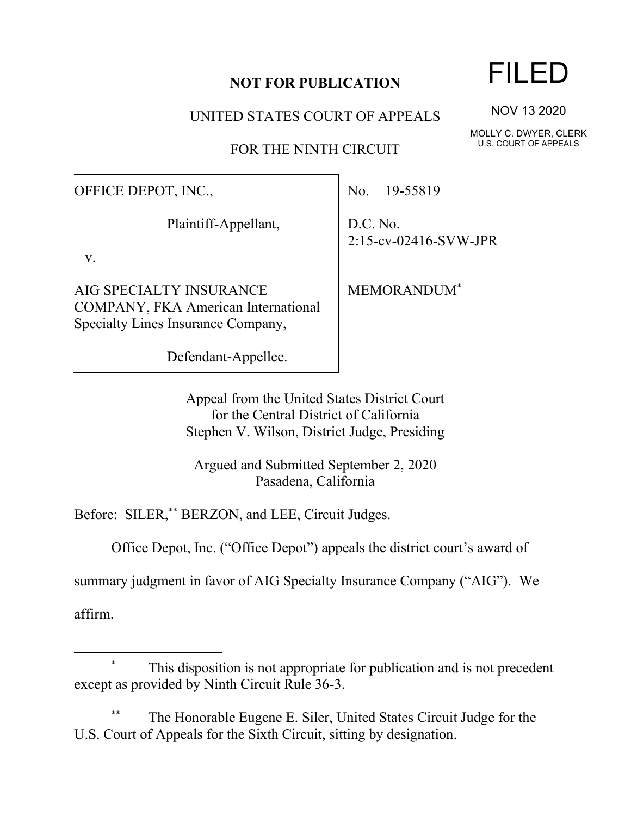## **NOT FOR PUBLICATION**

UNITED STATES COURT OF APPEALS

FOR THE NINTH CIRCUIT

OFFICE DEPOT, INC.,

Plaintiff-Appellant,

v.

AIG SPECIALTY INSURANCE COMPANY, FKA American International Specialty Lines Insurance Company,

Defendant-Appellee.

No. 19-55819

D.C. No. 2:15-cv-02416-SVW-JPR

MEMORANDUM\*

Appeal from the United States District Court for the Central District of California Stephen V. Wilson, District Judge, Presiding

Argued and Submitted September 2, 2020 Pasadena, California

Before: SILER,\*\* BERZON, and LEE, Circuit Judges.

Office Depot, Inc. ("Office Depot") appeals the district court's award of

summary judgment in favor of AIG Specialty Insurance Company ("AIG"). We

affirm.

## This disposition is not appropriate for publication and is not precedent except as provided by Ninth Circuit Rule 36-3.

The Honorable Eugene E. Siler, United States Circuit Judge for the U.S. Court of Appeals for the Sixth Circuit, sitting by designation.

## FILED

NOV 13 2020

MOLLY C. DWYER, CLERK U.S. COURT OF APPEALS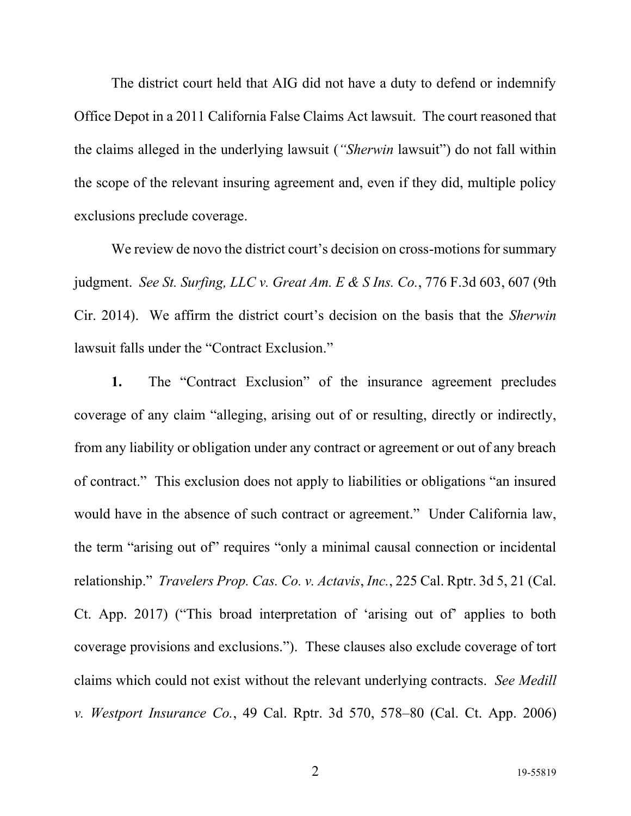The district court held that AIG did not have a duty to defend or indemnify Office Depot in a 2011 California False Claims Act lawsuit. The court reasoned that the claims alleged in the underlying lawsuit (*"Sherwin* lawsuit") do not fall within the scope of the relevant insuring agreement and, even if they did, multiple policy exclusions preclude coverage.

We review de novo the district court's decision on cross-motions for summary judgment. *See St. Surfing, LLC v. Great Am. E & S Ins. Co.*, 776 F.3d 603, 607 (9th Cir. 2014). We affirm the district court's decision on the basis that the *Sherwin* lawsuit falls under the "Contract Exclusion."

**1.** The "Contract Exclusion" of the insurance agreement precludes coverage of any claim "alleging, arising out of or resulting, directly or indirectly, from any liability or obligation under any contract or agreement or out of any breach of contract." This exclusion does not apply to liabilities or obligations "an insured would have in the absence of such contract or agreement." Under California law, the term "arising out of" requires "only a minimal causal connection or incidental relationship." *Travelers Prop. Cas. Co. v. Actavis*, *Inc.*, 225 Cal. Rptr. 3d 5, 21 (Cal. Ct. App. 2017) ("This broad interpretation of 'arising out of' applies to both coverage provisions and exclusions."). These clauses also exclude coverage of tort claims which could not exist without the relevant underlying contracts. *See Medill v. Westport Insurance Co.*, 49 Cal. Rptr. 3d 570, 578–80 (Cal. Ct. App. 2006)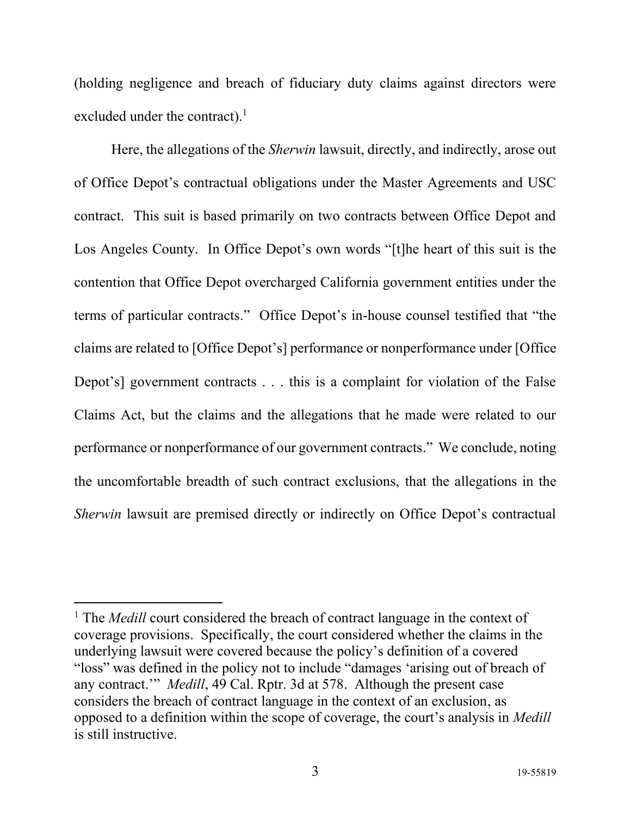(holding negligence and breach of fiduciary duty claims against directors were excluded under the contract). $<sup>1</sup>$ </sup>

Here, the allegations of the *Sherwin* lawsuit, directly, and indirectly, arose out of Office Depot's contractual obligations under the Master Agreements and USC contract. This suit is based primarily on two contracts between Office Depot and Los Angeles County. In Office Depot's own words "[t]he heart of this suit is the contention that Office Depot overcharged California government entities under the terms of particular contracts." Office Depot's in-house counsel testified that "the claims are related to [Office Depot's] performance or nonperformance under [Office Depot's] government contracts . . . this is a complaint for violation of the False Claims Act, but the claims and the allegations that he made were related to our performance or nonperformance of our government contracts." We conclude, noting the uncomfortable breadth of such contract exclusions, that the allegations in the *Sherwin* lawsuit are premised directly or indirectly on Office Depot's contractual

<sup>&</sup>lt;sup>1</sup> The *Medill* court considered the breach of contract language in the context of coverage provisions. Specifically, the court considered whether the claims in the underlying lawsuit were covered because the policy's definition of a covered "loss" was defined in the policy not to include "damages 'arising out of breach of any contract.'" *Medill*, 49 Cal. Rptr. 3d at 578. Although the present case considers the breach of contract language in the context of an exclusion, as opposed to a definition within the scope of coverage, the court's analysis in *Medill* is still instructive.